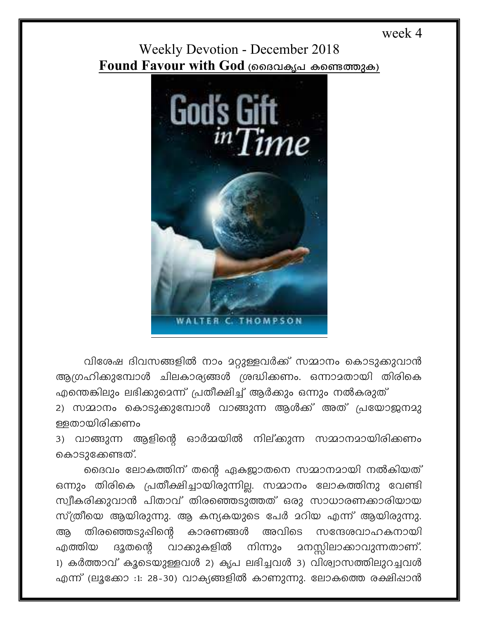week 4

## **Weekly Devotion - December 2018** Found Favour with God (ദൈവകൃപ കണ്ടെത്തുക)



വിശേഷ ദിവസങ്ങളിൽ നാം മറ്റുള്ളവർക്ക് സമ്മാനം കൊടുക്കുവാൻ ആഗ്രഹിക്കുമ്പോൾ ചിലകാര്യങ്ങൾ ശ്രദ്ധിക്കണം. ഒന്നാമതായി തിരികെ എന്തെങ്കിലും ലഭിക്കുമെന്ന് പ്രതീക്ഷിച്ച് ആർക്കും ഒന്നും നൽകരുത്

2) സമ്മാനം കൊടുക്കുമ്പോൾ വാങ്ങുന്ന ആൾക്ക് അത് പ്രയോജനമു ള്ളതായിരിക്കണം

ആളിന്റെ ഓർമ്മയിൽ നില്ക്കുന്ന സമ്മാനമായിരിക്കണം 3) വാങ്ങുന്ന കൊടുക്കേണ്ടത്.

ദൈവം ലോകത്തിന് തന്റെ ഏകളാതനെ സമ്മാനമായി നൽകിയത് ഒന്നും തിരികെ പ്രതീക്ഷിച്ചായിരുന്നില്ല. സമ്മാനം ലോകത്തിനു വേണ്ടി സ്വീകരിക്കുവാൻ പിതാവ് തിരഞ്ഞെടുത്തത് ഒരു സാധാരണക്കാരിയായ സ്ത്രീയെ ആയിരുന്നു. ആ കന്യകയുടെ പേർ മറിയ എന്ന് ആയിരുന്നു. തിരഞ്ഞെടുപ്പിന്റെ കാരണങ്ങൾ അവിടെ സന്ദേശവാഹകനായി ആ നിന്നും മനസ്സിലാക്കാവുന്നതാണ്. ഫത്തിയ ദുതന്റെ വാക്കുകളിൽ 1) കർത്താവ് കൂടെയുള്ളവൾ 2) കൃപ ലഭിച്ചവൾ 3) വിശ്വാസത്തിലുറച്ചവൾ എന്ന് (ലൂക്കോ :1: 28-30) വാക്യങ്ങളിൽ കാണുന്നു. ലോകത്തെ രക്ഷിഷാൻ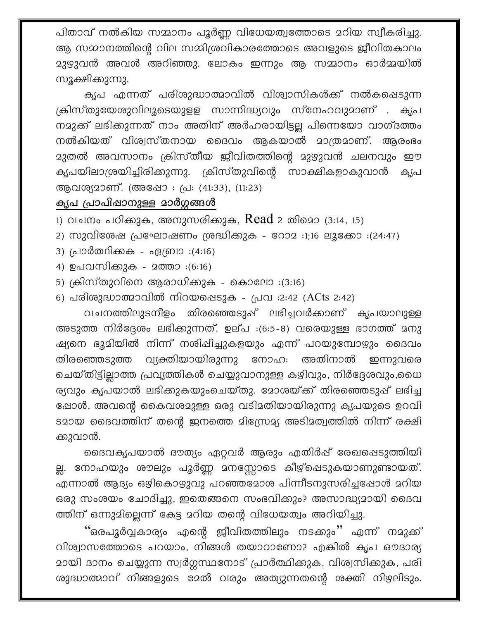പിതാവ് നൽകിയ സമ്മാനം പൂർണ്ണ വിധേയത്വത്തോടെ മറിയ സ്വീകരിച്ചു. ആ സമ്മാനത്തിന്റെ വില സമ്മിശ്രവികാരത്തോടെ അവളുടെ ജീവിതകാലം മുഴുവൻ അവൾ അറിഞ്ഞു. ലോകം ഇന്നും ആ സമ്മാനം ഓർമ്മയിൽ സൂക്ഷിക്കുന്നു.

കൃപ എന്നത് പരിശുദ്ധാത്മാവിൽ വിശ്വാസികൾക്ക് നൽകപ്പെടുന്ന ക്രിസ്തുയേശുവിലുടെയുളള സാന്നിദ്ധ്യവും സ്നേഹവുമാണ് . കൃപ നമുക്ക് ലഭിക്കുന്നത് നാം അതിന് അർഹരായിട്ടല്ല പിന്നെയോ വാഗ്ദത്തം നൽകിയത് വിശ്വസ്തനായ ദൈവം ആകയാൽ മാത്രമാണ്. ആരംഭം മുതൽ അവസാനം ക്രിസ്തീയ ജീവിതത്തിന്റെ മുഴുവൻ ചലനവും ഈ കൃപയിലാശ്രയിച്ചിരിക്കുന്നു. ക്രിസ്തുവിന്റെ സാക്ഷികളാകുവാൻ കൃപ ആവശ്യമാണ്. (അഷോ : പ്ര: (41:33), (11:23)

## കൃപ പ്രാപിഷാനുള്ള മാർഗ്ഗങ്ങൾ

1) വചനം പഠിക്കുക, അനുസരിക്കുക,  $Read$  2 തിമൊ (3:14, 15)

- 2) സുവിശേഷ പ്രഘോഷണം ശ്രദ്ധിക്കുക റോമ :1;16 ലൂക്കോ :(24:47)
- 3) പ്രാർത്ഥിക്കക ഏബ്രാ :(4:16)
- 4) ഉപവസിക്കുക മത്താ :(6:16)
- 5) ക്രിസ്തുവിനെ ആരാധിക്കുക കൊലോ :(3:16)
- 6) പരിശുദ്ധാത്മാവിൽ നിറയപ്പെടുക പ്രവ :2:42 (ACts 2:42)

വചനത്തിലുടനീളം തിരഞ്ഞെടുപ്പ് ലഭിച്ചവർക്കാണ് കൃപയാലുള്ള അടുത്ത നിർദ്ദേശം ലഭിക്കുന്നത്. ഉല്പ :(6:5-8) വരെയുള്ള ഭാഗത്ത് മനു ഷ്യനെ ഭൂമിയിൽ നിന്ന് നശിഷിച്ചുകളയും എന്ന് പറയുമ്പോഴും ദൈവം വ്യക്തിയായിരുന്നു നോഹ: അതിനാൽ തിരഞ്ഞെടുത്ത ഇന്നുവരെ ചെയ്തിട്ടില്ലാത്ത പ്രവൃത്തികൾ ചെയ്യുവാനുള്ള കഴിവും, നിർദ്ദേശവും,ധൈ ര്യവും കൃപയാൽ ലഭിക്കുകയുംചെയ്തു. മോശയ്ക്ക് തിരഞ്ഞെടുപ്പ് ലഭിച്ച ഷോൾ, അവന്റെ കൈവശമുള്ള ഒരു വടിമതിയായിരുന്നു കൃപയുടെ ഉറവി ടമായ ദൈവത്തിന് തന്റെ ജനത്തെ മിസ്രോമ്യ അടിമത്വത്തിൽ നിന്ന് രക്ഷി ക്കുവാൻ.

ദൈവകൃപയാൽ ദൗത്യം ഏറ്റവർ ആരും എതിർഷ് രേഖപ്പെടുത്തിയി ല്ല. നോഹയും ശൗലും പൂർണ്ണ മനസ്സോടെ കീഴ്ഷെടുകയാണുണ്ടായത്. എന്നാൽ ആദ്യം ഒഴികൊഴുവു പറഞ്ഞമോശ പിന്നീടനുസരിച്ചപ്പോൾ മറിയ ഒരു സംശയം ചോദിച്ചു, ഇതെങ്ങനെ സംഭവിക്കും? അസാദ്ധ്യമായി ദൈവ ത്തിന് ഒന്നുമില്ലെന്ന് കേട്ട മറിയ തന്റെ വിധേയത്വം അറിയിച്ചു.

്ഒരപൂർവ്വകാര്യം എന്റെ ജീവിതത്തിലും നടക്കും'' എന്ന് നമുക്ക് വിശ്വാസത്തോടെ പറയാം, നിങ്ങൾ തയാറാണോ? എങ്കിൽ കൃപ ഔദാര്യ മായി ദാനം ചെയ്യുന്ന സ്വർഗ്ഗസ്ഥനോട് പ്രാർത്ഥിക്കുക, വിശ്വസിക്കുക, പരി ശുദ്ധാത്മാവ് നിങ്ങളുടെ മേൽ വരും അത്യുന്നതന്റെ ശക്തി നിഴലിടും.